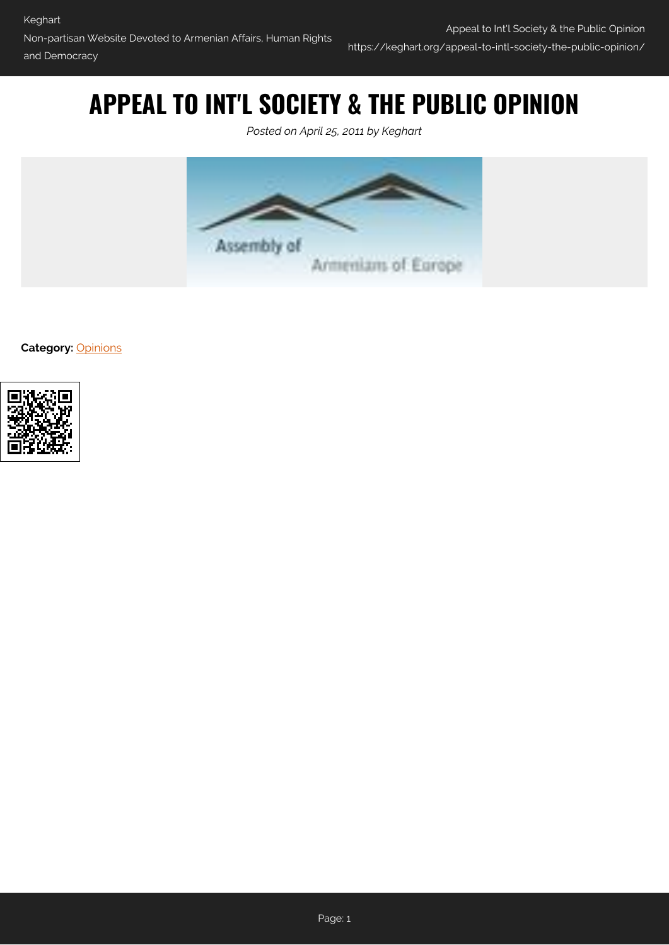# **APPEAL TO INT'L SOCIETY & THE PUBLIC OPINION**

*Posted on April 25, 2011 by Keghart*



**Category:** [Opinions](https://keghart.org/category/opinions/)

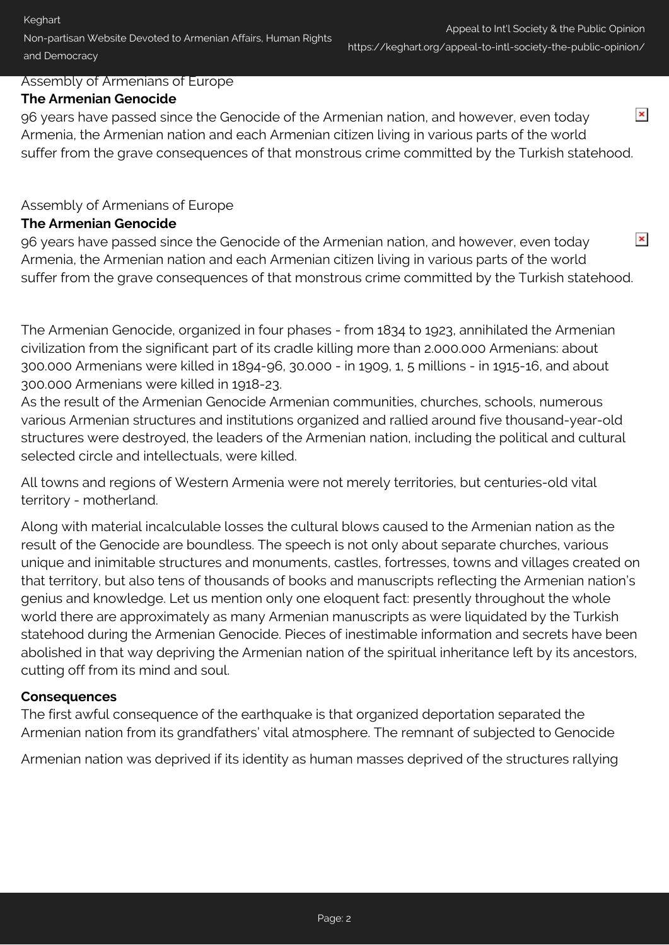### Assembly of Armenians of Europe

### **The Armenian Genocide**

 $\pmb{\times}$ 96 years have passed since the Genocide of the Armenian nation, and however, even today Armenia, the Armenian nation and each Armenian citizen living in various parts of the world suffer from the grave consequences of that monstrous crime committed by the Turkish statehood.

# Assembly of Armenians of Europe

### **The Armenian Genocide**

 $\pmb{\times}$ 96 years have passed since the Genocide of the Armenian nation, and however, even today Armenia, the Armenian nation and each Armenian citizen living in various parts of the world suffer from the grave consequences of that monstrous crime committed by the Turkish statehood.

The Armenian Genocide, organized in four phases - from 1834 to 1923, annihilated the Armenian civilization from the significant part of its cradle killing more than 2.000.000 Armenians: about 300.000 Armenians were killed in 1894-96, 30.000 - in 1909, 1, 5 millions - in 1915-16, and about 300.000 Armenians were killed in 1918-23.

As the result of the Armenian Genocide Armenian communities, churches, schools, numerous various Armenian structures and institutions organized and rallied around five thousand-year-old structures were destroyed, the leaders of the Armenian nation, including the political and cultural selected circle and intellectuals, were killed.

All towns and regions of Western Armenia were not merely territories, but centuries-old vital territory - motherland.

Along with material incalculable losses the cultural blows caused to the Armenian nation as the result of the Genocide are boundless. The speech is not only about separate churches, various unique and inimitable structures and monuments, castles, fortresses, towns and villages created on that territory, but also tens of thousands of books and manuscripts reflecting the Armenian nation's genius and knowledge. Let us mention only one eloquent fact: presently throughout the whole world there are approximately as many Armenian manuscripts as were liquidated by the Turkish statehood during the Armenian Genocide. Pieces of inestimable information and secrets have been abolished in that way depriving the Armenian nation of the spiritual inheritance left by its ancestors, cutting off from its mind and soul.

#### **Consequences**

The first awful consequence of the earthquake is that organized deportation separated the Armenian nation from its grandfathers' vital atmosphere. The remnant of subjected to Genocide

Armenian nation was deprived if its identity as human masses deprived of the structures rallying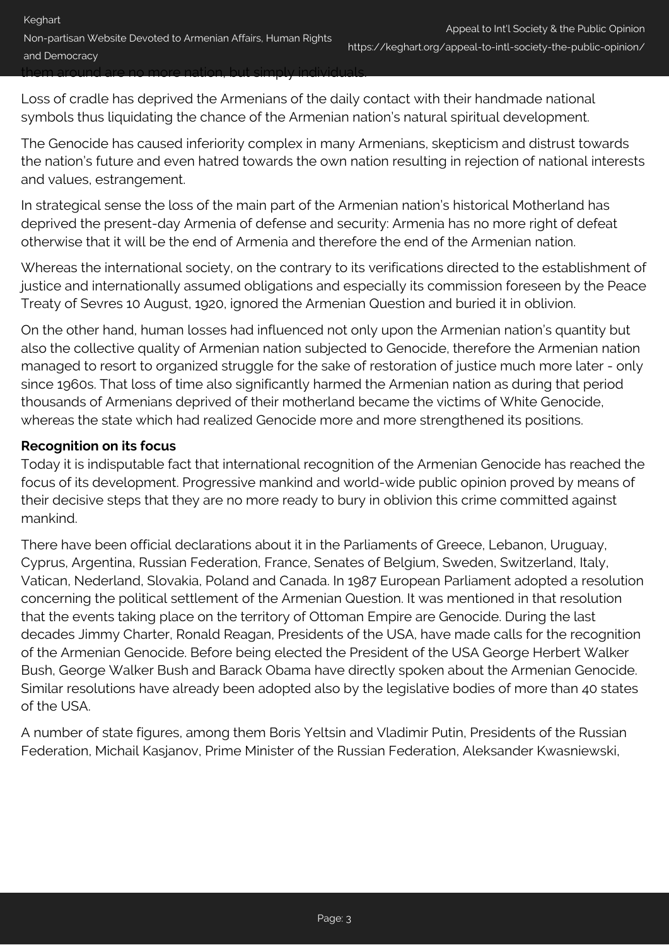| Keghart                                                                                                                          |                                                                |
|----------------------------------------------------------------------------------------------------------------------------------|----------------------------------------------------------------|
|                                                                                                                                  | Appeal to Int'l Society & the Public Opinion                   |
| Non-partisan Website Devoted to Armenian Affairs, Human Rights                                                                   | https://keghart.org/appeal-to-intl-society-the-public-opinion/ |
| and Democracy                                                                                                                    |                                                                |
| hem around are no more nation, but simply individuals<br><del>10.01.0 HD HDIO Hanon, 20.01.112.</del> 7 <del>11.01.10.00.0</del> |                                                                |

Loss of cradle has deprived the Armenians of the daily contact with their handmade national symbols thus liquidating the chance of the Armenian nation's natural spiritual development.

The Genocide has caused inferiority complex in many Armenians, skepticism and distrust towards the nation's future and even hatred towards the own nation resulting in rejection of national interests and values, estrangement.

In strategical sense the loss of the main part of the Armenian nation's historical Motherland has deprived the present-day Armenia of defense and security: Armenia has no more right of defeat otherwise that it will be the end of Armenia and therefore the end of the Armenian nation.

Whereas the international society, on the contrary to its verifications directed to the establishment of justice and internationally assumed obligations and especially its commission foreseen by the Peace Treaty of Sevres 10 August, 1920, ignored the Armenian Question and buried it in oblivion.

On the other hand, human losses had influenced not only upon the Armenian nation's quantity but also the collective quality of Armenian nation subjected to Genocide, therefore the Armenian nation managed to resort to organized struggle for the sake of restoration of justice much more later - only since 1960s. That loss of time also significantly harmed the Armenian nation as during that period thousands of Armenians deprived of their motherland became the victims of White Genocide, whereas the state which had realized Genocide more and more strengthened its positions.

# **Recognition on its focus**

Today it is indisputable fact that international recognition of the Armenian Genocide has reached the focus of its development. Progressive mankind and world-wide public opinion proved by means of their decisive steps that they are no more ready to bury in oblivion this crime committed against mankind.

There have been official declarations about it in the Parliaments of Greece, Lebanon, Uruguay, Cyprus, Argentina, Russian Federation, France, Senates of Belgium, Sweden, Switzerland, Italy, Vatican, Nederland, Slovakia, Poland and Canada. In 1987 European Parliament adopted a resolution concerning the political settlement of the Armenian Question. It was mentioned in that resolution that the events taking place on the territory of Ottoman Empire are Genocide. During the last decades Jimmy Charter, Ronald Reagan, Presidents of the USA, have made calls for the recognition of the Armenian Genocide. Before being elected the President of the USA George Herbert Walker Bush, George Walker Bush and Barack Obama have directly spoken about the Armenian Genocide. Similar resolutions have already been adopted also by the legislative bodies of more than 40 states of the USA.

A number of state figures, among them Boris Yeltsin and Vladimir Putin, Presidents of the Russian Federation, Michail Kasjanov, Prime Minister of the Russian Federation, Aleksander Kwasniewski,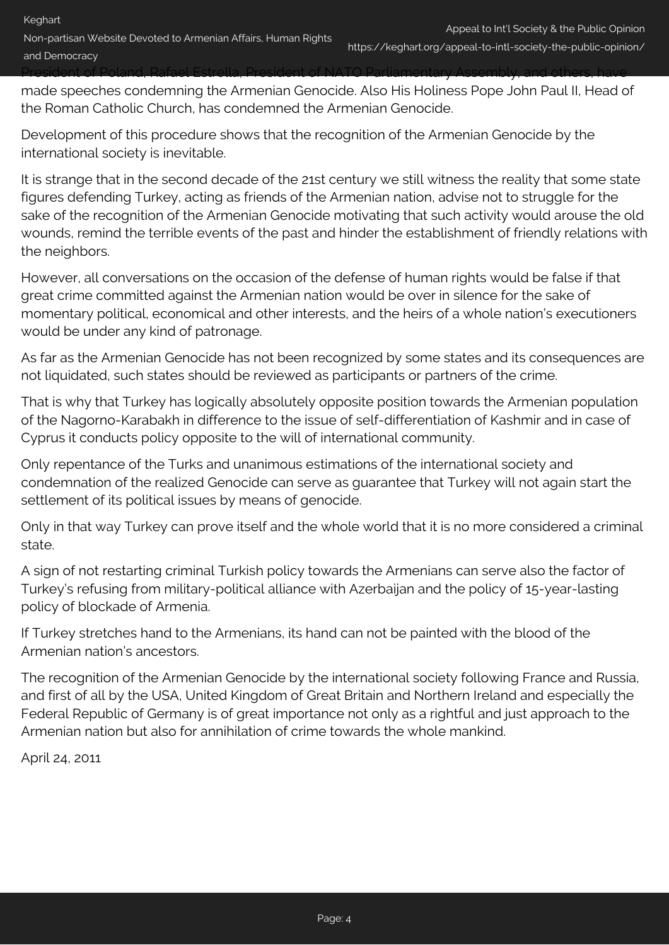Non-partisan Website Devoted to Armenian Affairs, Human Rights and Democracy

## President of Poland, Rafael Estrella, President of NATO Parliamentary Assembly, and others, have

made speeches condemning the Armenian Genocide. Also His Holiness Pope John Paul II, Head of the Roman Catholic Church, has condemned the Armenian Genocide.

Development of this procedure shows that the recognition of the Armenian Genocide by the international society is inevitable.

It is strange that in the second decade of the 21st century we still witness the reality that some state figures defending Turkey, acting as friends of the Armenian nation, advise not to struggle for the sake of the recognition of the Armenian Genocide motivating that such activity would arouse the old wounds, remind the terrible events of the past and hinder the establishment of friendly relations with the neighbors.

However, all conversations on the occasion of the defense of human rights would be false if that great crime committed against the Armenian nation would be over in silence for the sake of momentary political, economical and other interests, and the heirs of a whole nation's executioners would be under any kind of patronage.

As far as the Armenian Genocide has not been recognized by some states and its consequences are not liquidated, such states should be reviewed as participants or partners of the crime.

That is why that Turkey has logically absolutely opposite position towards the Armenian population of the Nagorno-Karabakh in difference to the issue of self-differentiation of Kashmir and in case of Cyprus it conducts policy opposite to the will of international community.

Only repentance of the Turks and unanimous estimations of the international society and condemnation of the realized Genocide can serve as guarantee that Turkey will not again start the settlement of its political issues by means of genocide.

Only in that way Turkey can prove itself and the whole world that it is no more considered a criminal state.

A sign of not restarting criminal Turkish policy towards the Armenians can serve also the factor of Turkey's refusing from military-political alliance with Azerbaijan and the policy of 15-year-lasting policy of blockade of Armenia.

If Turkey stretches hand to the Armenians, its hand can not be painted with the blood of the Armenian nation's ancestors.

The recognition of the Armenian Genocide by the international society following France and Russia, and first of all by the USA, United Kingdom of Great Britain and Northern Ireland and especially the Federal Republic of Germany is of great importance not only as a rightful and just approach to the Armenian nation but also for annihilation of crime towards the whole mankind.

April 24, 2011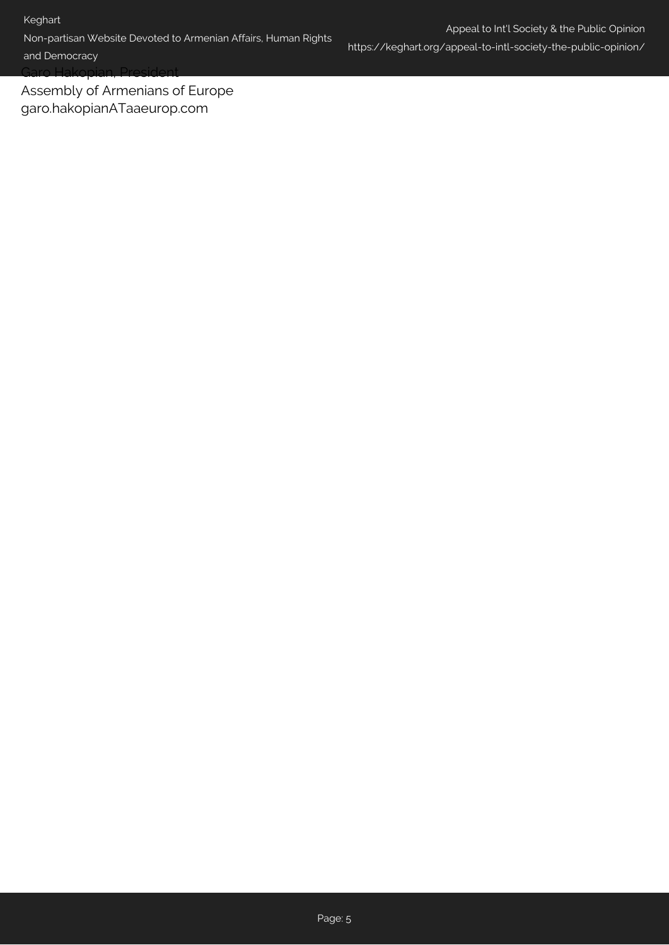Non-partisan Website Devoted to Armenian Affairs, Human Rights

Appeal to Int'l Society & the Public Opinion https://keghart.org/appeal-to-intl-society-the-public-opinion/

and Democracy

Garo Hakopian, President

Assembly of Armenians of Europe garo.hakopianATaaeurop.com